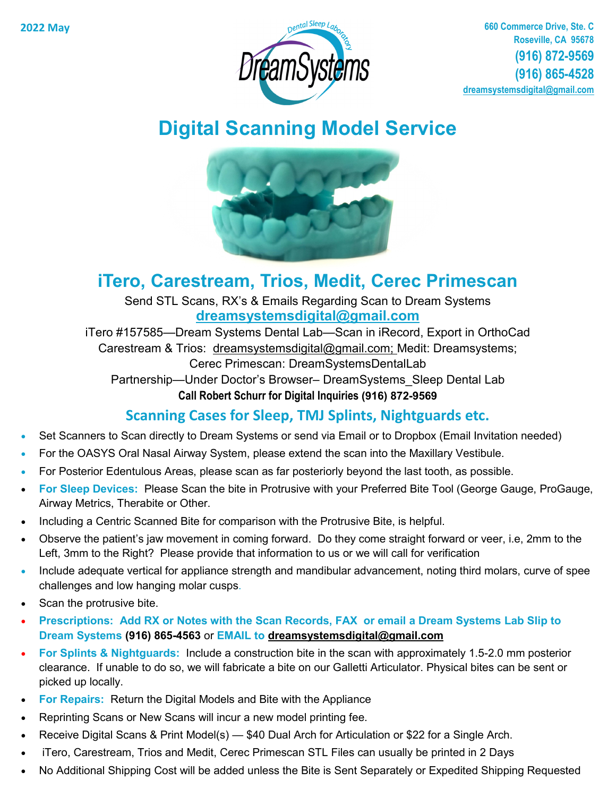

# **Digital Scanning Model Service**



## **iTero, Carestream, Trios, Medit, Cerec Primescan**

Send STL Scans, RX's & Emails Regarding Scan to Dream Systems **dreamsystemsdigital@gmail.com**

iTero #157585—Dream Systems Dental Lab—Scan in iRecord, Export in OrthoCad

Carestream & Trios: dreamsystemsdigital@gmail.com; Medit: Dreamsystems; Cerec Primescan: DreamSystemsDentalLab

Partnership—Under Doctor's Browser– DreamSystems\_Sleep Dental Lab

**Call Robert Schurr for Digital Inquiries (916) 872-9569**

#### **Scanning Cases for Sleep, TMJ Splints, Nightguards etc.**

- Set Scanners to Scan directly to Dream Systems or send via Email or to Dropbox (Email Invitation needed)
- For the OASYS Oral Nasal Airway System, please extend the scan into the Maxillary Vestibule.
- For Posterior Edentulous Areas, please scan as far posteriorly beyond the last tooth, as possible.
- **For Sleep Devices:** Please Scan the bite in Protrusive with your Preferred Bite Tool (George Gauge, ProGauge, Airway Metrics, Therabite or Other.
- Including a Centric Scanned Bite for comparison with the Protrusive Bite, is helpful.
- Observe the patient's jaw movement in coming forward. Do they come straight forward or veer, i.e, 2mm to the Left, 3mm to the Right? Please provide that information to us or we will call for verification
- Include adequate vertical for appliance strength and mandibular advancement, noting third molars, curve of spee challenges and low hanging molar cusps.
- Scan the protrusive bite.
- **Prescriptions: Add RX or Notes with the Scan Records, FAX or email a Dream Systems Lab Slip to Dream Systems (916) 865-4563** or **EMAIL to [dreamsystemsdigital@gmail.com](mailto:dreamsystemsllc@gmail.com)**
- **For Splints & Nightguards:** Include a construction bite in the scan with approximately 1.5-2.0 mm posterior clearance. If unable to do so, we will fabricate a bite on our Galletti Articulator. Physical bites can be sent or picked up locally.
- **For Repairs:** Return the Digital Models and Bite with the Appliance
- Reprinting Scans or New Scans will incur a new model printing fee.
- Receive Digital Scans & Print Model(s) \$40 Dual Arch for Articulation or \$22 for a Single Arch.
- iTero, Carestream, Trios and Medit, Cerec Primescan STL Files can usually be printed in 2 Days
- No Additional Shipping Cost will be added unless the Bite is Sent Separately or Expedited Shipping Requested